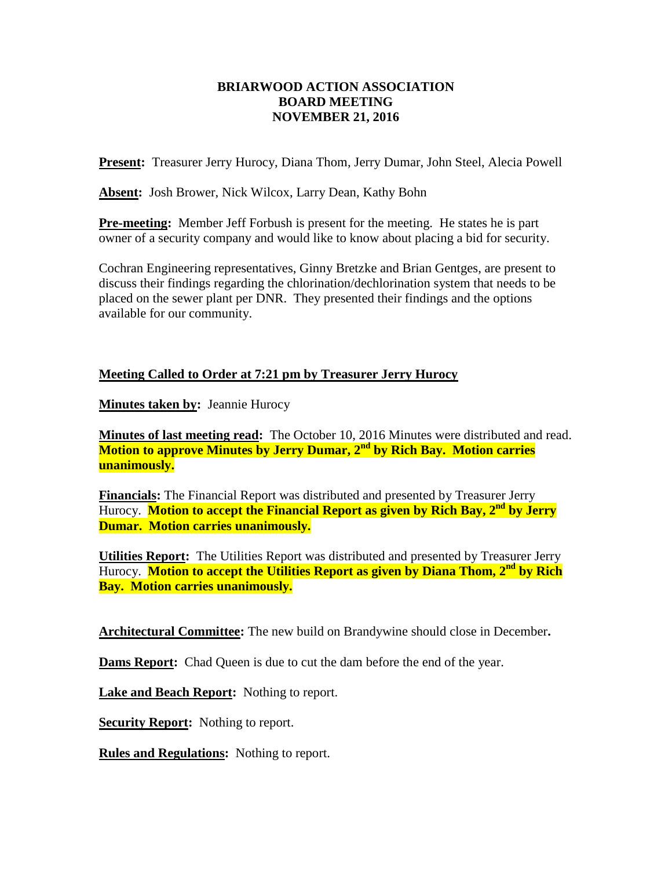## **BRIARWOOD ACTION ASSOCIATION BOARD MEETING NOVEMBER 21, 2016**

**Present:** Treasurer Jerry Hurocy, Diana Thom, Jerry Dumar, John Steel, Alecia Powell

**Absent:** Josh Brower, Nick Wilcox, Larry Dean, Kathy Bohn

**Pre-meeting:** Member Jeff Forbush is present for the meeting. He states he is part owner of a security company and would like to know about placing a bid for security.

Cochran Engineering representatives, Ginny Bretzke and Brian Gentges, are present to discuss their findings regarding the chlorination/dechlorination system that needs to be placed on the sewer plant per DNR. They presented their findings and the options available for our community.

## **Meeting Called to Order at 7:21 pm by Treasurer Jerry Hurocy**

**Minutes taken by:** Jeannie Hurocy

**Minutes of last meeting read:** The October 10, 2016 Minutes were distributed and read. **Motion to approve Minutes by Jerry Dumar, 2nd by Rich Bay. Motion carries unanimously.**

**Financials:** The Financial Report was distributed and presented by Treasurer Jerry Hurocy. **Motion to accept the Financial Report as given by Rich Bay, 2nd by Jerry Dumar. Motion carries unanimously.**

**Utilities Report:** The Utilities Report was distributed and presented by Treasurer Jerry Hurocy. **Motion to accept the Utilities Report as given by Diana Thom, 2nd by Rich Bay. Motion carries unanimously.**

**Architectural Committee:** The new build on Brandywine should close in December**.** 

**Dams Report:** Chad Queen is due to cut the dam before the end of the year.

**Lake and Beach Report:** Nothing to report.

**Security Report:** Nothing to report.

**Rules and Regulations:** Nothing to report.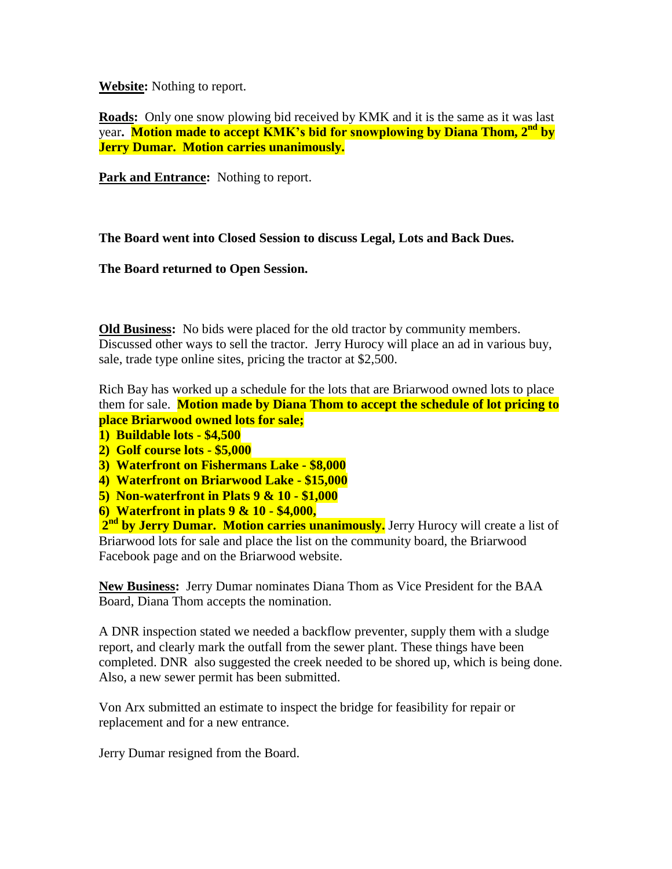**Website:** Nothing to report.

**Roads:** Only one snow plowing bid received by KMK and it is the same as it was last year**. Motion made to accept KMK's bid for snowplowing by Diana Thom, 2nd by Jerry Dumar. Motion carries unanimously.**

**Park and Entrance:** Nothing to report.

**The Board went into Closed Session to discuss Legal, Lots and Back Dues.**

**The Board returned to Open Session.**

**Old Business:** No bids were placed for the old tractor by community members. Discussed other ways to sell the tractor. Jerry Hurocy will place an ad in various buy, sale, trade type online sites, pricing the tractor at \$2,500.

Rich Bay has worked up a schedule for the lots that are Briarwood owned lots to place them for sale. **Motion made by Diana Thom to accept the schedule of lot pricing to place Briarwood owned lots for sale;** 

- **1) Buildable lots - \$4,500**
- **2) Golf course lots - \$5,000**
- **3) Waterfront on Fishermans Lake - \$8,000**
- **4) Waterfront on Briarwood Lake - \$15,000**
- **5) Non-waterfront in Plats 9 & 10 - \$1,000**
- **6) Waterfront in plats 9 & 10 - \$4,000,**

2<sup>nd</sup> by Jerry Dumar. Motion carries unanimously. Jerry Hurocy will create a list of Briarwood lots for sale and place the list on the community board, the Briarwood Facebook page and on the Briarwood website.

**New Business:** Jerry Dumar nominates Diana Thom as Vice President for the BAA Board, Diana Thom accepts the nomination.

A DNR inspection stated we needed a backflow preventer, supply them with a sludge report, and clearly mark the outfall from the sewer plant. These things have been completed. DNR also suggested the creek needed to be shored up, which is being done. Also, a new sewer permit has been submitted.

Von Arx submitted an estimate to inspect the bridge for feasibility for repair or replacement and for a new entrance.

Jerry Dumar resigned from the Board.